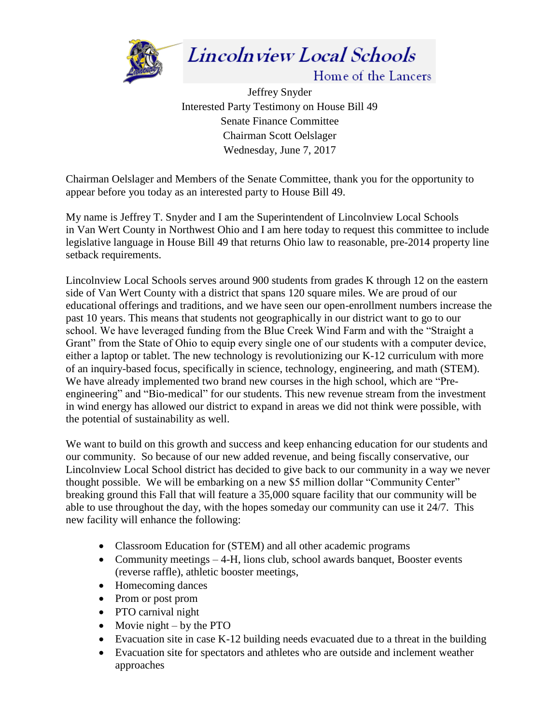

Lincolnview Local Schools

Home of the Lancers

Jeffrey Snyder Interested Party Testimony on House Bill 49 Senate Finance Committee Chairman Scott Oelslager Wednesday, June 7, 2017

Chairman Oelslager and Members of the Senate Committee, thank you for the opportunity to appear before you today as an interested party to House Bill 49.

My name is Jeffrey T. Snyder and I am the Superintendent of Lincolnview Local Schools in Van Wert County in Northwest Ohio and I am here today to request this committee to include legislative language in House Bill 49 that returns Ohio law to reasonable, pre-2014 property line setback requirements.

Lincolnview Local Schools serves around 900 students from grades K through 12 on the eastern side of Van Wert County with a district that spans 120 square miles. We are proud of our educational offerings and traditions, and we have seen our open-enrollment numbers increase the past 10 years. This means that students not geographically in our district want to go to our school. We have leveraged funding from the Blue Creek Wind Farm and with the "Straight a Grant" from the State of Ohio to equip every single one of our students with a computer device, either a laptop or tablet. The new technology is revolutionizing our K-12 curriculum with more of an inquiry-based focus, specifically in science, technology, engineering, and math (STEM). We have already implemented two brand new courses in the high school, which are "Preengineering" and "Bio-medical" for our students. This new revenue stream from the investment in wind energy has allowed our district to expand in areas we did not think were possible, with the potential of sustainability as well.

We want to build on this growth and success and keep enhancing education for our students and our community. So because of our new added revenue, and being fiscally conservative, our Lincolnview Local School district has decided to give back to our community in a way we never thought possible. We will be embarking on a new \$5 million dollar "Community Center" breaking ground this Fall that will feature a 35,000 square facility that our community will be able to use throughout the day, with the hopes someday our community can use it 24/7. This new facility will enhance the following:

- Classroom Education for (STEM) and all other academic programs
- Community meetings 4-H, lions club, school awards banquet, Booster events (reverse raffle), athletic booster meetings,
- Homecoming dances
- Prom or post prom
- PTO carnival night
- Movie night by the PTO
- Evacuation site in case K-12 building needs evacuated due to a threat in the building
- Evacuation site for spectators and athletes who are outside and inclement weather approaches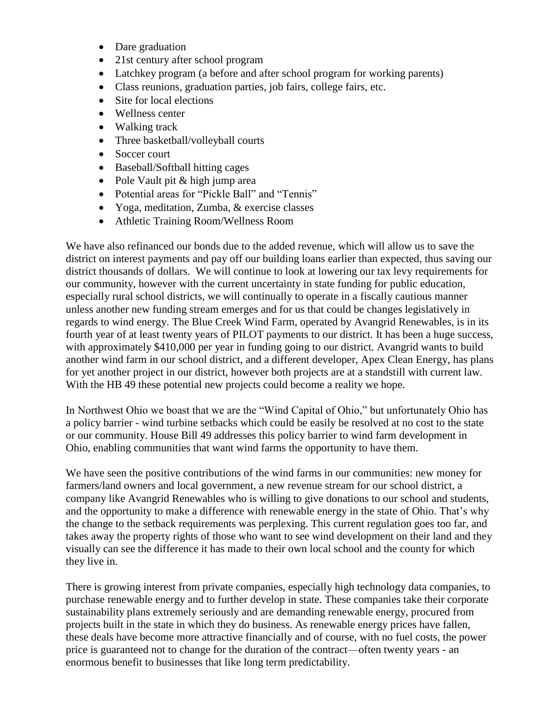- Dare graduation
- 21st century after school program
- Latchkey program (a before and after school program for working parents)
- Class reunions, graduation parties, job fairs, college fairs, etc.
- Site for local elections
- Wellness center
- Walking track
- Three basketball/volleyball courts
- Soccer court
- Baseball/Softball hitting cages
- Pole Vault pit & high jump area
- Potential areas for "Pickle Ball" and "Tennis"
- Yoga, meditation, Zumba, & exercise classes
- Athletic Training Room/Wellness Room

We have also refinanced our bonds due to the added revenue, which will allow us to save the district on interest payments and pay off our building loans earlier than expected, thus saving our district thousands of dollars. We will continue to look at lowering our tax levy requirements for our community, however with the current uncertainty in state funding for public education, especially rural school districts, we will continually to operate in a fiscally cautious manner unless another new funding stream emerges and for us that could be changes legislatively in regards to wind energy. The Blue Creek Wind Farm, operated by Avangrid Renewables, is in its fourth year of at least twenty years of PILOT payments to our district. It has been a huge success, with approximately \$410,000 per year in funding going to our district. Avangrid wants to build another wind farm in our school district, and a different developer, Apex Clean Energy, has plans for yet another project in our district, however both projects are at a standstill with current law. With the HB 49 these potential new projects could become a reality we hope.

In Northwest Ohio we boast that we are the "Wind Capital of Ohio," but unfortunately Ohio has a policy barrier - wind turbine setbacks which could be easily be resolved at no cost to the state or our community. House Bill 49 addresses this policy barrier to wind farm development in Ohio, enabling communities that want wind farms the opportunity to have them.

We have seen the positive contributions of the wind farms in our communities: new money for farmers/land owners and local government, a new revenue stream for our school district, a company like Avangrid Renewables who is willing to give donations to our school and students, and the opportunity to make a difference with renewable energy in the state of Ohio. That's why the change to the setback requirements was perplexing. This current regulation goes too far, and takes away the property rights of those who want to see wind development on their land and they visually can see the difference it has made to their own local school and the county for which they live in.

There is growing interest from private companies, especially high technology data companies, to purchase renewable energy and to further develop in state. These companies take their corporate sustainability plans extremely seriously and are demanding renewable energy, procured from projects built in the state in which they do business. As renewable energy prices have fallen, these deals have become more attractive financially and of course, with no fuel costs, the power price is guaranteed not to change for the duration of the contract—often twenty years - an enormous benefit to businesses that like long term predictability.